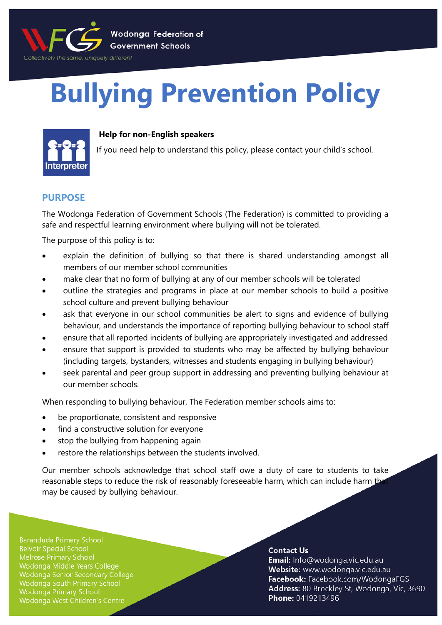

# **Bullying Prevention Policy**



## **Help for non-English speakers**

If you need help to understand this policy, please contact your child's school.

# **PURPOSE**

The Wodonga Federation of Government Schools (The Federation) is committed to providing a safe and respectful learning environment where bullying will not be tolerated.

The purpose of this policy is to:

- explain the definition of bullying so that there is shared understanding amongst all members of our member school communities
- make clear that no form of bullying at any of our member schools will be tolerated
- outline the strategies and programs in place at our member schools to build a positive school culture and prevent bullying behaviour
- ask that everyone in our school communities be alert to signs and evidence of bullying behaviour, and understands the importance of reporting bullying behaviour to school staff
- ensure that all reported incidents of bullying are appropriately investigated and addressed
- ensure that support is provided to students who may be affected by bullying behaviour (including targets, bystanders, witnesses and students engaging in bullying behaviour)
- seek parental and peer group support in addressing and preventing bullying behaviour at our member schools.

When responding to bullying behaviour, The Federation member schools aims to:

- be proportionate, consistent and responsive
- find a constructive solution for everyone
- stop the bullying from happening again
- restore the relationships between the students involved.

Our member schools acknowledge that school staff owe a duty of care to students to take reasonable steps to reduce the risk of reasonably foreseeable harm, which can include harm th may be caused by bullying behaviour.

**Baranduda Primary School Belvoir Special School** Wodonga Middle Years College Wodonga Senior Secondary College Wodonga South Primary School **Wodonga Primary School** Wodonga West Children's Centre

## **Contact Us**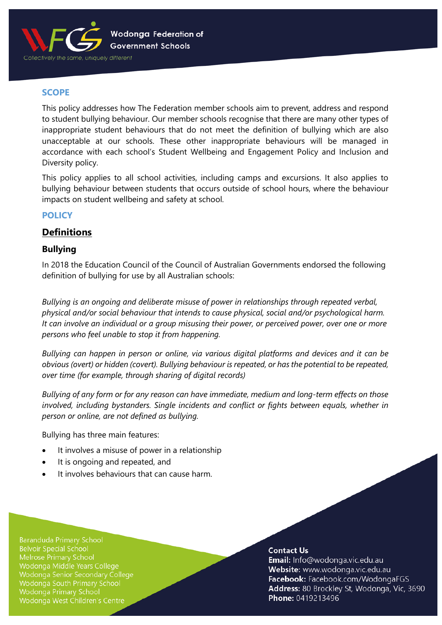

# **SCOPE**

This policy addresses how The Federation member schools aim to prevent, address and respond to student bullying behaviour. Our member schools recognise that there are many other types of inappropriate student behaviours that do not meet the definition of bullying which are also unacceptable at our schools. These other inappropriate behaviours will be managed in accordance with each school's Student Wellbeing and Engagement Policy and Inclusion and Diversity policy.

This policy applies to all school activities, including camps and excursions. It also applies to bullying behaviour between students that occurs outside of school hours, where the behaviour impacts on student wellbeing and safety at school.

# **POLICY**

# **Definitions**

# **Bullying**

In 2018 the Education Council of the Council of Australian Governments endorsed the following definition of bullying for use by all Australian schools:

*Bullying is an ongoing and deliberate misuse of power in relationships through repeated verbal, physical and/or social behaviour that intends to cause physical, social and/or psychological harm. It can involve an individual or a group misusing their power, or perceived power, over one or more persons who feel unable to stop it from happening.*

*Bullying can happen in person or online, via various digital platforms and devices and it can be obvious (overt) or hidden (covert). Bullying behaviour is repeated, or has the potential to be repeated, over time (for example, through sharing of digital records)*

*Bullying of any form or for any reason can have immediate, medium and long-term effects on those involved, including bystanders. Single incidents and conflict or fights between equals, whether in person or online, are not defined as bullying.*

Bullying has three main features:

- It involves a misuse of power in a relationship
- It is ongoing and repeated, and
- It involves behaviours that can cause harm.

**Baranduda Primary School Belvoir Special School** Wodonga Middle Years College Wodonga Senior Secondary College Wodonga South Primary School **Wodonga Primary School** Wodonga West Children's Centre

## **Contact Us**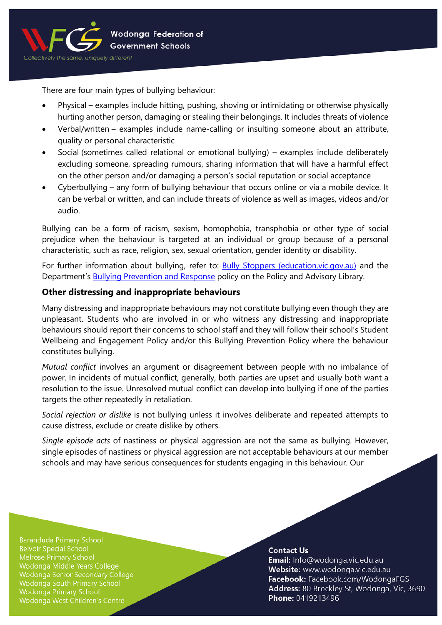

There are four main types of bullying behaviour:

- Physical examples include hitting, pushing, shoving or intimidating or otherwise physically hurting another person, damaging or stealing their belongings. It includes threats of violence
- Verbal/written examples include name-calling or insulting someone about an attribute, quality or personal characteristic
- Social (sometimes called relational or emotional bullying) examples include deliberately excluding someone, spreading rumours, sharing information that will have a harmful effect on the other person and/or damaging a person's social reputation or social acceptance
- Cyberbullying any form of bullying behaviour that occurs online or via a mobile device. It can be verbal or written, and can include threats of violence as well as images, videos and/or audio.

Bullying can be a form of racism, sexism, homophobia, transphobia or other type of social prejudice when the behaviour is targeted at an individual or group because of a personal characteristic, such as race, religion, sex, sexual orientation, gender identity or disability.

For further information about bullying, refer to: [Bully Stoppers \(education.vic.gov.au\)](https://www.education.vic.gov.au/about/programs/bullystoppers/Pages/default.aspx) and the Department's **Bullying Prevention and Response policy on the Policy and Advisory Library.** 

# **Other distressing and inappropriate behaviours**

Many distressing and inappropriate behaviours may not constitute bullying even though they are unpleasant. Students who are involved in or who witness any distressing and inappropriate behaviours should report their concerns to school staff and they will follow their school's Student Wellbeing and Engagement Policy and/or this Bullying Prevention Policy where the behaviour constitutes bullying.

*Mutual conflict* involves an argument or disagreement between people with no imbalance of power. In incidents of mutual conflict, generally, both parties are upset and usually both want a resolution to the issue. Unresolved mutual conflict can develop into bullying if one of the parties targets the other repeatedly in retaliation.

*Social rejection or dislike* is not bullying unless it involves deliberate and repeated attempts to cause distress, exclude or create dislike by others.

*Single-episode acts* of nastiness or physical aggression are not the same as bullying. However, single episodes of nastiness or physical aggression are not acceptable behaviours at our member schools and may have serious consequences for students engaging in this behaviour. Our

**Baranduda Primary School Belvoir Special School** Wodonga Middle Years College Wodonga Senior Secondary College Wodonga South Primary School Wodonga Primary School Wodonga West Children's Centre

## **Contact Us**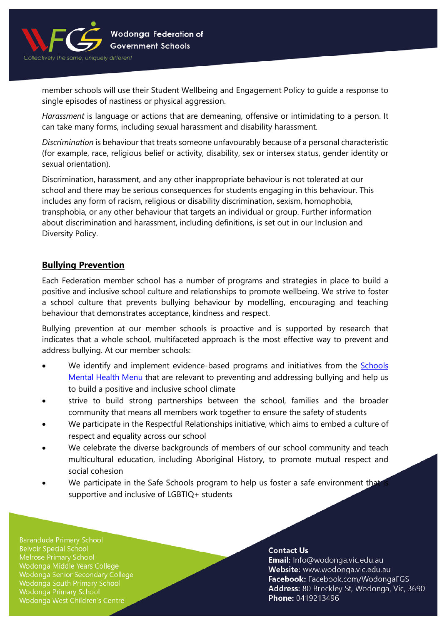

member schools will use their Student Wellbeing and Engagement Policy to guide a response to single episodes of nastiness or physical aggression.

*Harassment* is language or actions that are demeaning, offensive or intimidating to a person. It can take many forms, including sexual harassment and disability harassment.

*Discrimination* is behaviour that treats someone unfavourably because of a personal characteristic (for example, race, religious belief or activity, disability, sex or intersex status, gender identity or sexual orientation).

Discrimination, harassment, and any other inappropriate behaviour is not tolerated at our school and there may be serious consequences for students engaging in this behaviour. This includes any form of racism, religious or disability discrimination, sexism, homophobia, transphobia, or any other behaviour that targets an individual or group. Further information about discrimination and harassment, including definitions, is set out in our Inclusion and Diversity Policy.

# **Bullying Prevention**

Each Federation member school has a number of programs and strategies in place to build a positive and inclusive school culture and relationships to promote wellbeing. We strive to foster a school culture that prevents bullying behaviour by modelling, encouraging and teaching behaviour that demonstrates acceptance, kindness and respect.

Bullying prevention at our member schools is proactive and is supported by research that indicates that a whole school, multifaceted approach is the most effective way to prevent and address bullying. At our member schools:

- We identify and implement evidence-based programs and initiatives from the **Schools** [Mental Health Menu](https://www.education.vic.gov.au/school/teachers/health/mentalhealth/mental-health-menu/Pages/Menu.aspx?Redirect=1) that are relevant to preventing and addressing bullying and help us to build a positive and inclusive school climate
- strive to build strong partnerships between the school, families and the broader community that means all members work together to ensure the safety of students
- We participate in the Respectful Relationships initiative, which aims to embed a culture of respect and equality across our school
- We celebrate the diverse backgrounds of members of our school community and teach multicultural education, including Aboriginal History, to promote mutual respect and social cohesion
- We participate in the Safe Schools program to help us foster a safe environment that supportive and inclusive of LGBTIQ+ students

**Baranduda Primary School Belvoir Special School** Melrose Primary School Wodonga Middle Years College Wodonga Senior Secondary College Wodonga South Primary School Wodonga Primary School Wodonga West Children's Centre

#### **Contact Us**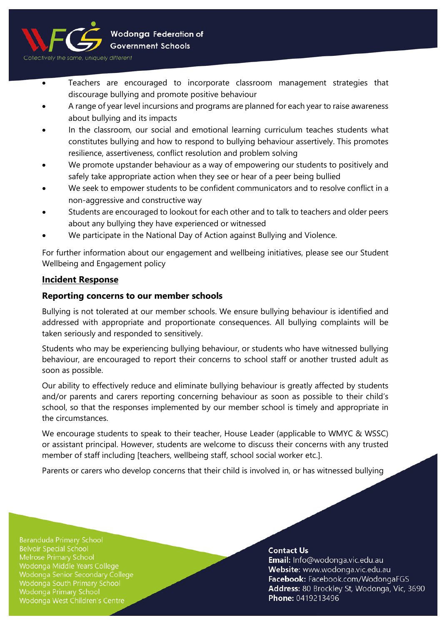

- Teachers are encouraged to incorporate classroom management strategies that discourage bullying and promote positive behaviour
- A range of year level incursions and programs are planned for each year to raise awareness about bullying and its impacts
- In the classroom, our social and emotional learning curriculum teaches students what constitutes bullying and how to respond to bullying behaviour assertively. This promotes resilience, assertiveness, conflict resolution and problem solving
- We promote upstander behaviour as a way of empowering our students to positively and safely take appropriate action when they see or hear of a peer being bullied
- We seek to empower students to be confident communicators and to resolve conflict in a non-aggressive and constructive way
- Students are encouraged to lookout for each other and to talk to teachers and older peers about any bullying they have experienced or witnessed
- We participate in the National Day of Action against Bullying and Violence.

For further information about our engagement and wellbeing initiatives, please see our Student Wellbeing and Engagement policy

# **Incident Response**

# **Reporting concerns to our member schools**

Bullying is not tolerated at our member schools. We ensure bullying behaviour is identified and addressed with appropriate and proportionate consequences. All bullying complaints will be taken seriously and responded to sensitively.

Students who may be experiencing bullying behaviour, or students who have witnessed bullying behaviour, are encouraged to report their concerns to school staff or another trusted adult as soon as possible.

Our ability to effectively reduce and eliminate bullying behaviour is greatly affected by students and/or parents and carers reporting concerning behaviour as soon as possible to their child's school, so that the responses implemented by our member school is timely and appropriate in the circumstances.

We encourage students to speak to their teacher, House Leader (applicable to WMYC & WSSC) or assistant principal. However, students are welcome to discuss their concerns with any trusted member of staff including [teachers, wellbeing staff, school social worker etc.].

Parents or carers who develop concerns that their child is involved in, or has witnessed bullying

**Baranduda Primary School Belvoir Special School** Wodonga Middle Years College Wodonga Senior Secondary College Wodonga South Primary School Wodonga Primary School Wodonga West Children's Centre

## **Contact Us**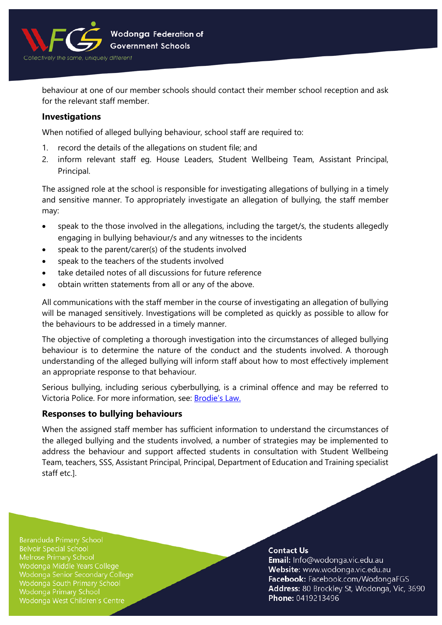

behaviour at one of our member schools should contact their member school reception and ask for the relevant staff member.

## **Investigations**

When notified of alleged bullying behaviour, school staff are required to:

- 1. record the details of the allegations on student file; and
- 2. inform relevant staff eg. House Leaders, Student Wellbeing Team, Assistant Principal, Principal.

The assigned role at the school is responsible for investigating allegations of bullying in a timely and sensitive manner. To appropriately investigate an allegation of bullying, the staff member may:

- speak to the those involved in the allegations, including the target/s, the students allegedly engaging in bullying behaviour/s and any witnesses to the incidents
- speak to the parent/carer(s) of the students involved
- speak to the teachers of the students involved
- take detailed notes of all discussions for future reference
- obtain written statements from all or any of the above.

All communications with the staff member in the course of investigating an allegation of bullying will be managed sensitively. Investigations will be completed as quickly as possible to allow for the behaviours to be addressed in a timely manner.

The objective of completing a thorough investigation into the circumstances of alleged bullying behaviour is to determine the nature of the conduct and the students involved. A thorough understanding of the alleged bullying will inform staff about how to most effectively implement an appropriate response to that behaviour.

Serious bullying, including serious cyberbullying, is a criminal offence and may be referred to Victoria Police. For more information, see: [Brodie's Law.](http://www.education.vic.gov.au/about/programs/bullystoppers/Pages/advicesheetbrodieslaw.aspx)

# **Responses to bullying behaviours**

When the assigned staff member has sufficient information to understand the circumstances of the alleged bullying and the students involved, a number of strategies may be implemented to address the behaviour and support affected students in consultation with Student Wellbeing Team, teachers, SSS, Assistant Principal, Principal, Department of Education and Training specialist staff etc.].

**Baranduda Primary School Belvoir Special School** Wodonga Middle Years College Wodonga Senior Secondary College Wodonga South Primary School Wodonga Primary School Wodonga West Children's Centre

## **Contact Us**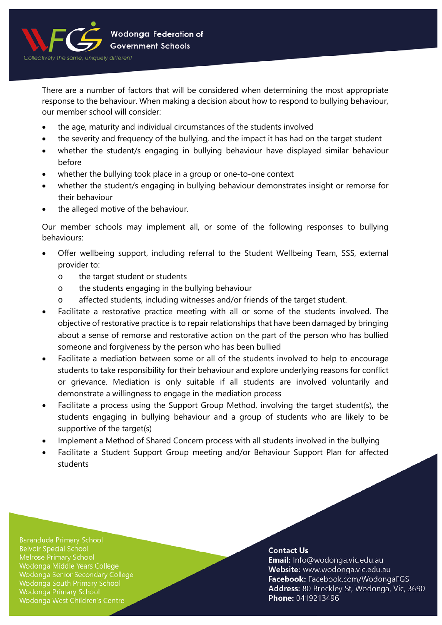

There are a number of factors that will be considered when determining the most appropriate response to the behaviour. When making a decision about how to respond to bullying behaviour, our member school will consider:

- the age, maturity and individual circumstances of the students involved
- the severity and frequency of the bullying, and the impact it has had on the target student
- whether the student/s engaging in bullying behaviour have displayed similar behaviour before
- whether the bullying took place in a group or one-to-one context
- whether the student/s engaging in bullying behaviour demonstrates insight or remorse for their behaviour
- the alleged motive of the behaviour.

Our member schools may implement all, or some of the following responses to bullying behaviours:

- Offer wellbeing support, including referral to the Student Wellbeing Team, SSS, external provider to:
	- o the target student or students
	- o the students engaging in the bullying behaviour
	- o affected students, including witnesses and/or friends of the target student.
- Facilitate a restorative practice meeting with all or some of the students involved. The objective of restorative practice is to repair relationships that have been damaged by bringing about a sense of remorse and restorative action on the part of the person who has bullied someone and forgiveness by the person who has been bullied
- Facilitate a mediation between some or all of the students involved to help to encourage students to take responsibility for their behaviour and explore underlying reasons for conflict or grievance. Mediation is only suitable if all students are involved voluntarily and demonstrate a willingness to engage in the mediation process
- Facilitate a process using the Support Group Method, involving the target student(s), the students engaging in bullying behaviour and a group of students who are likely to be supportive of the target(s)
- Implement a Method of Shared Concern process with all students involved in the bullying
- Facilitate a Student Support Group meeting and/or Behaviour Support Plan for affected students

**Baranduda Primary School Belvoir Special School** Melrose Primary School Wodonga Middle Years College Wodonga Senior Secondary College Wodonga South Primary School Wodonga Primary School Wodonga West Children's Centre

## **Contact Us**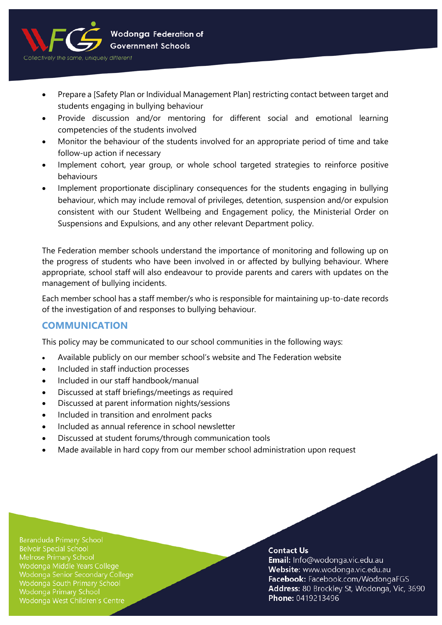

- Prepare a [Safety Plan or Individual Management Plan] restricting contact between target and students engaging in bullying behaviour
- Provide discussion and/or mentoring for different social and emotional learning competencies of the students involved
- Monitor the behaviour of the students involved for an appropriate period of time and take follow-up action if necessary
- Implement cohort, year group, or whole school targeted strategies to reinforce positive behaviours
- Implement proportionate disciplinary consequences for the students engaging in bullying behaviour, which may include removal of privileges, detention, suspension and/or expulsion consistent with our Student Wellbeing and Engagement policy, the Ministerial Order on Suspensions and Expulsions, and any other relevant Department policy.

The Federation member schools understand the importance of monitoring and following up on the progress of students who have been involved in or affected by bullying behaviour. Where appropriate, school staff will also endeavour to provide parents and carers with updates on the management of bullying incidents.

Each member school has a staff member/s who is responsible for maintaining up-to-date records of the investigation of and responses to bullying behaviour.

# **COMMUNICATION**

This policy may be communicated to our school communities in the following ways:

- Available publicly on our member school's website and The Federation website
- Included in staff induction processes
- Included in our staff handbook/manual
- Discussed at staff briefings/meetings as required
- Discussed at parent information nights/sessions
- Included in transition and enrolment packs
- Included as annual reference in school newsletter
- Discussed at student forums/through communication tools
- Made available in hard copy from our member school administration upon request

**Baranduda Primary School Belvoir Special School** Melrose Primary School Wodonga Middle Years College Wodonga Senior Secondary College Wodonga South Primary School Wodonga Primary School Wodonga West Children's Centre

## **Contact Us**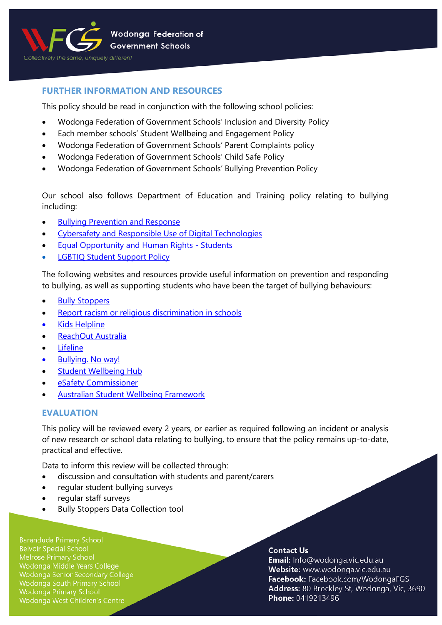

# **FURTHER INFORMATION AND RESOURCES**

This policy should be read in conjunction with the following school policies:

- Wodonga Federation of Government Schools' Inclusion and Diversity Policy
- Each member schools' Student Wellbeing and Engagement Policy
- Wodonga Federation of Government Schools' Parent Complaints policy
- Wodonga Federation of Government Schools' Child Safe Policy
- Wodonga Federation of Government Schools' Bullying Prevention Policy

Our school also follows Department of Education and Training policy relating to bullying including:

- [Bullying Prevention and Response](https://www2.education.vic.gov.au/pal/bullying-prevention-response/policy)
- [Cybersafety and Responsible Use of](https://www2.education.vic.gov.au/pal/cybersafety/policy) Digital Technologies
- **[Equal Opportunity and Human Rights -](https://www2.education.vic.gov.au/pal/equal-opportunity-human-rights-students/policy) Students**
- **[LGBTIQ Student Support Policy](https://www2.education.vic.gov.au/pal/lgbtiq-student-support/policy)**

The following websites and resources provide useful information on prevention and responding to bullying, as well as supporting students who have been the target of bullying behaviours:

- **[Bully Stoppers](https://www.education.vic.gov.au/about/programs/bullystoppers/Pages/default.aspx)**
- [Report racism or religious discrimination in schools](https://www.vic.gov.au/report-racism-or-religious-discrimination-schools)
- **Kids [Helpline](https://kidshelpline.com.au/)**
- [ReachOut Australia](https://au.reachout.com/)
- **[Lifeline](https://www.lifeline.org.au/)**
- [Bullying. No way!](https://bullyingnoway.gov.au/)
- **[Student Wellbeing Hub](https://www.studentwellbeinghub.edu.au/)**
- [eSafety Commissioner](https://www.esafety.gov.au/)
- [Australian Student Wellbeing Framework](https://studentwellbeinghub.edu.au/educators/resources/australian-student-wellbeing-framework/)

# **EVALUATION**

This policy will be reviewed every 2 years, or earlier as required following an incident or analysis of new research or school data relating to bullying, to ensure that the policy remains up-to-date, practical and effective.

Data to inform this review will be collected through:

- discussion and consultation with students and parent/carers
- regular student bullying surveys
- regular staff surveys
- Bully Stoppers Data Collection tool

**Baranduda Primary School Belvoir Special School** Melrose Primary School Wodonga Middle Years College Wodonga Senior Secondary College Wodonga South Primary School Wodonga Primary School Wodonga West Children's Centre

## **Contact Us**